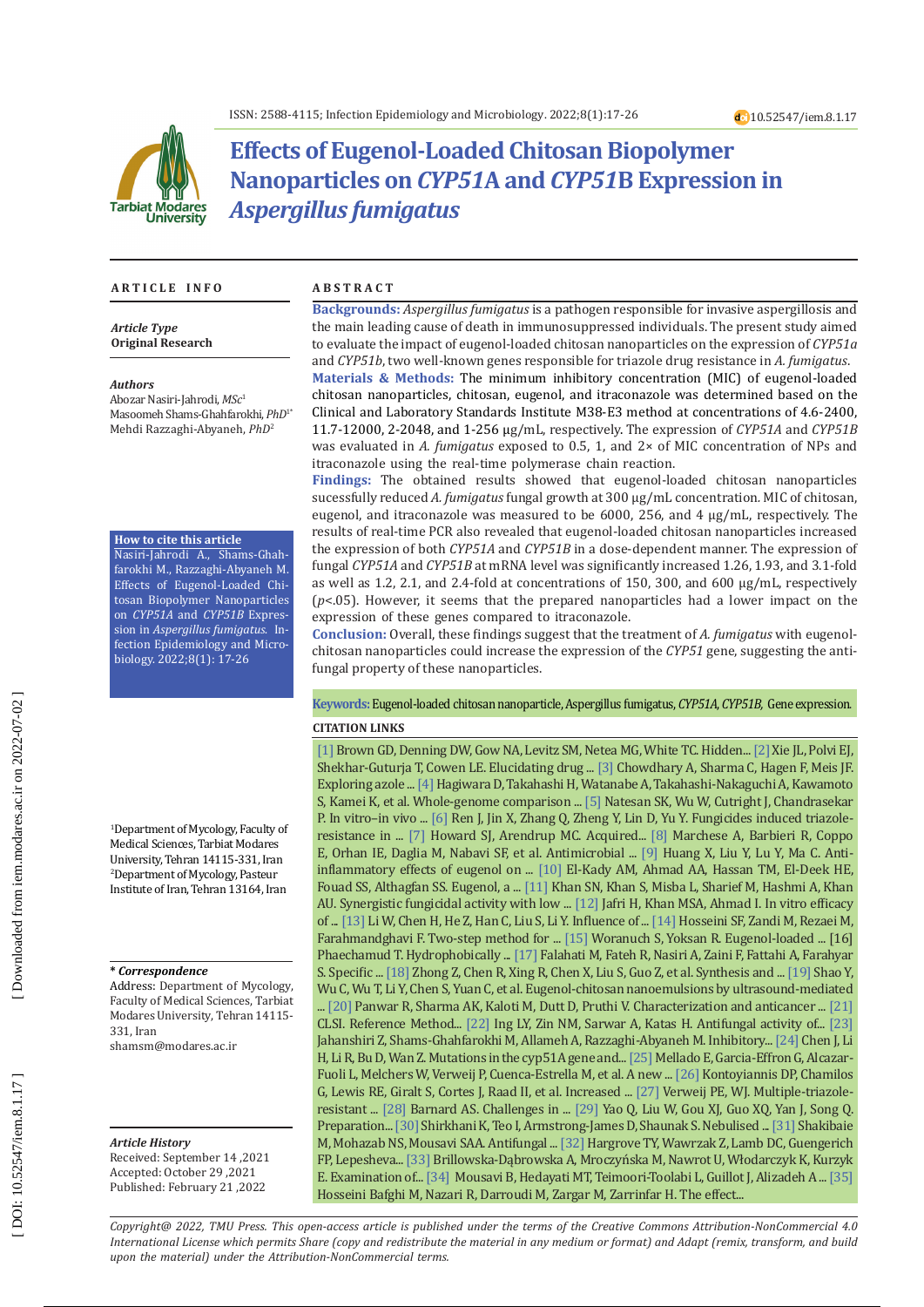

# **Effects of Eugenol-Loaded Chitosan Biopolymer Nanoparticles on** *CYP51***A and** *CYP51***B Expression in**  *Aspergillus fumigatus*

### **A R T I C L E I N F O A B S T R A C T**

*Article Type* **Original Research**

### *Authors*

Abozar Nasiri-Jahrodi, *MSc* 1 Masoomeh Shams-Ghahfarokhi, *PhD* 1 \* Mehdi Razzaghi-Abyaneh, *PhD* 2

### **How to cite this article**

Nasiri-Jahrodi A., Shams-Ghah farokhi M., Razzaghi-Abyaneh M. Effects of Eugenol-Loaded Chi tosan Biopolymer Nanoparticles on *CYP51A* and *CYP51B* Expres sion in *Aspergillus fumigatus*. In fection Epidemiology and Micro biology. 2022;8(1): 17-26

1 Department of Mycology, Faculty of Medical Sciences, Tarbiat Modares University, Tehran 14115-331, Iran 2 Department of Mycology, Pasteur Institute of Iran, Tehran 13164, Iran

### **\*** *Correspondence*

Address: Department of Mycology, Faculty of Medical Sciences, Tarbiat Modares University, Tehran 14115- 331, Iran [shamsm@modares.ac.ir](mailto:shamsm@modares.ac.ir) 

### *Article History* Received: September 14 ,2021

Accepted: October 29 ,2021 Published: February 21 ,2022

**Backgrounds:** *Aspergillus fumigatus* is a pathogen responsible for invasive aspergillosis and the main leading cause of death in immunosuppressed individuals. The present study aimed to evaluate the impact of eugenol-loaded chitosan nanoparticles on the expression of *CYP51a* and *CYP51b*, two well-known genes responsible for triazole drug resistance in *A. fumigatus* .

**Materials & Methods:** The minimum inhibitory concentration (MIC) of eugenol-loaded chitosan nanoparticles, chitosan, eugenol, and itraconazole was determined based on the Clinical and Laboratory Standards Institute M38-E3 method at concentrations of 4.6-2400, 11.7-12000, 2-2048, and 1-256 μg/mL, respectively. The expression of *CYP51A* and *CYP51B*  was evaluated in *A. fumigatus* exposed to 0.5, 1, and 2× of MIC concentration of NPs and itraconazole using the real-time polymerase chain reaction.

**Findings:** The obtained results showed that eugenol-loaded chitosan nanoparticles sucessfully reduced *A. fumigatus* fungal growth at 300 μg/mL concentration*.* MIC of chitosan, eugenol, and itraconazole was measured to be 6000, 256, and 4 μg/mL, respectively. The results of real-time PCR also revealed that eugenol-loaded chitosan nanoparticles increased the expression of both *CYP51A* and *CYP51B* in a dose-dependent manner. The expression of fungal *CYP51A* and *CYP51B* at mRNA level was significantly increased 1.26, 1.93, and 3.1-fold  $(p<.05)$ . However, it seems that the prepared nanoparticles had a lower impact on the expression of these genes compared to itraconazole.

**Conclusion:** Overall, these findings suggest that the treatment of *A. fumigatus* with eugenolchitosan nanoparticles could increase the expression of the *CYP51* gene, suggesting the antifungal property of these nanoparticles.

### **Keywords:** Eugenol-loaded chitosan nanoparticle, [Aspergillus fumigatus](https://www.ncbi.nlm.nih.gov/mesh/68001232), *CYP51A*, *CYP51B,* Gene expression . **CITATION LINKS**

[1] Brown GD, Denning DW, Gow NA, Levitz SM, Netea MG, White TC. Hidden... [\[2\]](https://www.futuremedicine.com/doi/abs/10.2217/fmb.14.18) Xie JL, Polvi EJ, Shekhar-Guturja T, Cowen LE. Elucidating drug ... [\[3\]](https://www.futuremedicine.com/doi/abs/10.2217/fmb.14.27) Chowdhary A, Sharma C, Hagen F, Meis JF. Exploring azole ... [\[4\]](https://journals.asm.org/doi/abs/10.1128/JCM.01105-14) Hagiwara D, Takahashi H, Watanabe A, Takahashi-Nakaguchi A, Kawamoto S, Kamei K, et al. Whole-genome comparison ... [\[5\]](https://www.sciencedirect.com/science/article/pii/S0732889312002817) Natesan SK, Wu W, Cutright J, Chandrasekar P. In vitro–in vivo ... [\[6\]](https://www.sciencedirect.com/science/article/pii/S0304389416311451) Ren J, Jin X, Zhang Q, Zheng Y, Lin D, Yu Y. Fungicides induced triazoleresistance in ... [\[7\]](https://academic.oup.com/mmy/article-abstract/49/Supplement_1/S90/982161) Howard SJ, Arendrup MC. Acquired... [\[8\]](https://www.tandfonline.com/doi/abs/10.1080/1040841X.2017.1295225) Marchese A, Barbieri R, Coppo E, Orhan IE, Daglia M, Nabavi SF, et al. Antimicrobial ... [\[9\]](https://www.sciencedirect.com/science/article/pii/S1567576915001289) Huang X, Liu Y, Lu Y, Ma C. Antiinflammatory effects of eugenol on ... [\[10\]](https://www.ncbi.nlm.nih.gov/pmc/articles/PMC6445185/) El-Kady AM, Ahmad AA, Hassan TM, El-Deek HE, Fouad SS, Althagfan SS. Eugenol, a ... [\[11\]](https://www.sciencedirect.com/science/article/pii/S0006291X19315700) Khan SN, Khan S, Misba L, Sharief M, Hashmi A, Khan AU. Synergistic fungicidal activity with low ... [\[12\]](https://www.sciencedirect.com/science/article/pii/S0944711318305269) Jafri H, Khan MSA, Ahmad I. In vitro efficacy of ... [\[13\]](https://www.sciencedirect.com/science/article/pii/S0023643815000286) Li W, Chen H, He Z, Han C, Liu S, Li Y. Influence of ... [\[14\]](https://www.sciencedirect.com/science/article/pii/S0144861713001707) Hosseini SF, Zandi M, Rezaei M, Farahmandghavi F. Two-step method for ... [\[15\]](https://www.sciencedirect.com/science/article/pii/S0144861712010211) Woranuch S, Yoksan R. Eugenol-loaded ... [16] Phaechamud T. Hydrophobically ... [\[17\] F](https://eprints.iums.ac.ir/6524/)alahati M, Fateh R, Nasiri A, Zaini F, Fattahi A, Farahyar S. Specific ... [\[18\]](https://www.sciencedirect.com/science/article/pii/S0008621507003394) Zhong Z, Chen R, Xing R, Chen X, Liu S, Guo Z, et al. Synthesis and ... [\[19\]](https://www.sciencedirect.com/science/article/pii/S0144861718303655) Shao Y, Wu C, Wu T, Li Y, Chen S, Yuan C, et al. Eugenol-chitosan nanoemulsions by ultrasound-mediated ... [\[20\]](https://www.infona.pl/resource/bwmeta1.element.springer-doi-10_1007-S13204-015-0502-Y) Panwar R, Sharma AK, Kaloti M, Dutt D, Pruthi V. Characterization and anticancer ... [\[21\]](https://clsi.org/media/1894/m38ed3_sample.pdf) CLSI. Reference Method... [\[22\]](https://www.hindawi.com/journals/IJBM/2012/632698/) Ing LY, Zin NM, Sarwar A, Katas H. Antifungal activity of... [\[23\]](https://link.springer.com/article/10.1007/s11274-015-1857-7) Jahanshiri Z, Shams-Ghahfarokhi M, Allameh A, Razzaghi-Abyaneh M. Inhibitory... [\[24\]](https://academic.oup.com/jac/article-abstract/55/1/31/777111) Chen J, Li H, Li R, Bu D, Wan Z. Mutations in the cyp51A gene and... [\[25\]](https://journals.asm.org/doi/abs/10.1128/AAC.01092-06) Mellado E, Garcia-Effron G, Alcazar-Fuoli L, Melchers W, Verweij P, Cuenca-Estrella M, et al. A new ... [\[26\]](https://acsjournals.onlinelibrary.wiley.com/doi/abs/10.1002/cncr.22909) Kontoyiannis DP, Chamilos G, Lewis RE, Giralt S, Cortes J, Raad II, et al. Increased ... [\[27\]](https://repository.ubn.ru.nl/bitstream/handle/2066/51832/51832.pdf) Verweij PE, WJ. Multiple-triazoleresistant ... [\[28\]](https://pubmed.ncbi.nlm.nih.gov/26682622/) Barnard AS. Challenges in ... [\[29\]](https://www.hindawi.com/journals/jnm/2013/183871/) Yao Q, Liu W, Gou XJ, Guo XQ, Yan J, Song Q. Preparation... [\[30\]](https://www.sciencedirect.com/science/article/pii/S1549963415000623) Shirkhani K, Teo I, Armstrong-James D, Shaunak S. Nebulised ... [\[31\]](https://www.ncbi.nlm.nih.gov/pmc/articles/PMC4609177/) Shakibaie M, Mohazab NS, Mousavi SAA. Antifungal ... [\[32\]](https://www.jbc.org/article/S0021-9258\(20\)44728-3/abstract) Hargrove TY, Wawrzak Z, Lamb DC, Guengerich FP, Lepesheva... [\[33\]](http://ojs.ptbioch.edu.pl/index.php/abp/article/view/1722) Brillowska-Dąbrowska A, Mroczyńska M, Nawrot U, Włodarczyk K, Kurzyk E. Examination of... [\[34\]](https://onlinelibrary.wiley.com/doi/abs/10.1111/myc.12417) Mousavi B, Hedayati MT, Teimoori-Toolabi L, Guillot J, Alizadeh A ... [\[35\]](https://pubmed.ncbi.nlm.nih.gov/34460147/) Hosseini Bafghi M, Nazari R, Darroudi M, Zargar M, Zarrinfar H. The effect...

*Copyright@ 2022, TMU Press. This open-access article is published under the terms of the Creative Commons Attribution-NonCommercial 4.0 International License which permits Share (copy and redistribute the material in any medium or format) and Adapt (remix, transform, and build upon the material) under the Attribution-NonCommercial terms.*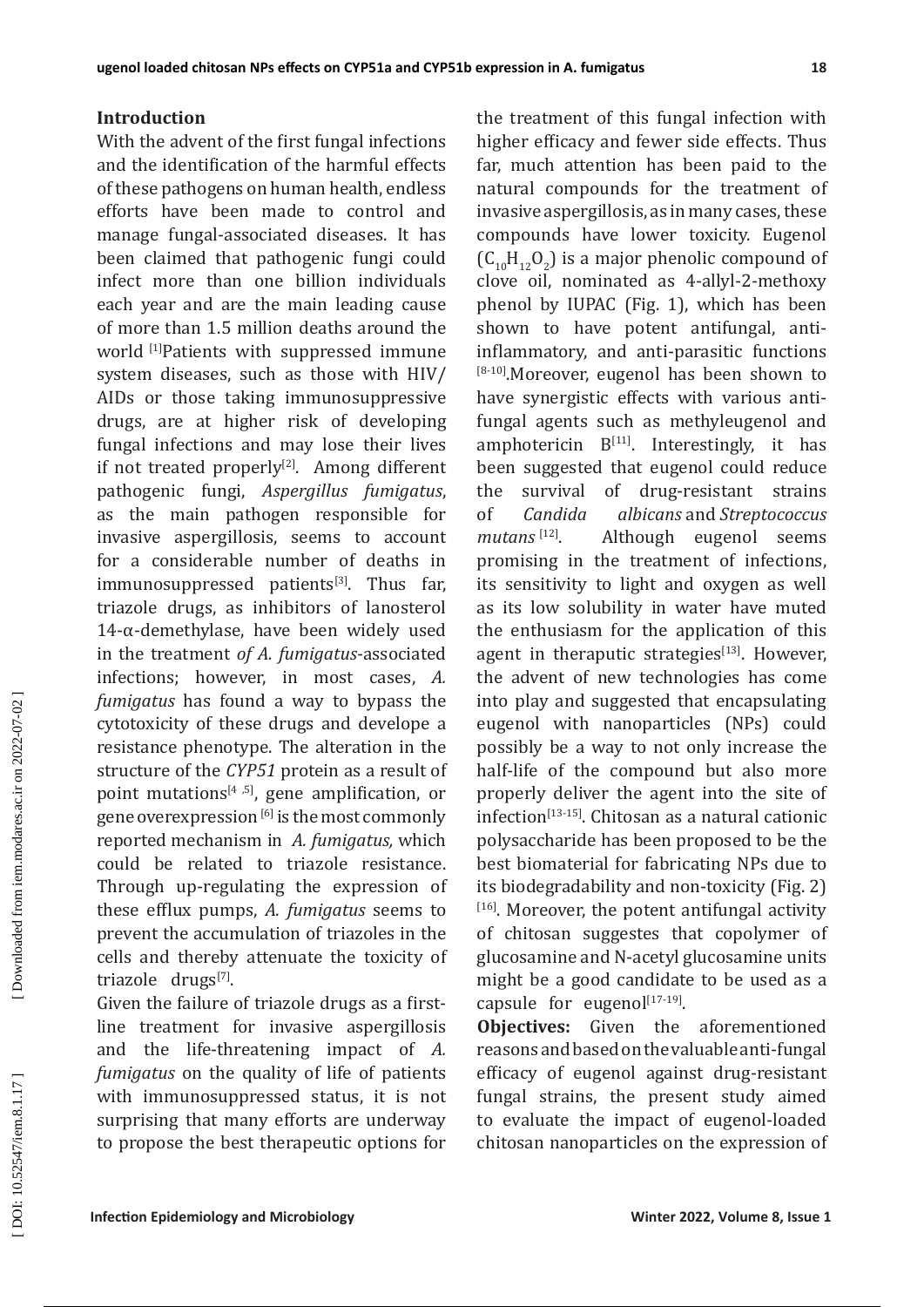## **Introduction**

With the advent of the first fungal infections and the identification of the harmful effects of these pathogens on human health, endless efforts have been made to control and manage fungal-associated diseases. It has been claimed that pathogenic fungi could infect more than one billion individuals each year and are the main leading cause of more than 1.5 million deaths around the world <u>[1]</u>Patients with suppressed immune system diseases, such as those with HIV/ AIDs or those taking immunosuppressive drugs, are at higher risk of developing fungal infections and may lose their lives if not treated properly<sup>[2]</sup>. Among different pathogenic fungi, *Aspergillus fumigatus*, as the main pathogen responsible for invasive aspergillosis, seems to account for a considerable number of deaths in immunosuppressed patients<sup>[3]</sup>. Thus far, triazole drugs, as inhibitors of lanosterol  $14$ - $\alpha$ -demethylase, have been widely used in the treatment *of A. fumigatus*-associated infections; however, in most cases, *A. fumigatus* has found a way to bypass the cytotoxicity of these drugs and develope a resistance phenotype. The alteration in the structure of the *CYP51* protein as a result of point mutations<sup>[4,5]</sup>, gene amplification, or gene overexpression  $^{[6]}$  is the most commonly reported mechanism in *A. fumigatus,* which could be related to triazole resistance. Through up-regulating the expression of these efflux pumps, *A. fumigatus* seems to prevent the accumulation of triazoles in the cells and thereby attenuate the toxicity of triazole drugs<sup>[7]</sup>.

Given the failure of triazole drugs as a firstline treatment for invasive aspergillosis and the life-threatening impact of *A. fumigatus* on the quality of life of patients with immunosuppressed status, it is not surprising that many efforts are underway to propose the best therapeutic options for

the treatment of this fungal infection with higher efficacy and fewer side effects. Thus far, much attention has been paid to the natural compounds for the treatment of invasive aspergillosis, as in many cases, these compounds have lower toxicity. Eugenol  $(C_{10}H_{12}O_2)$  is a major phenolic compound of 2 clove oil, nominated as 4-allyl-2-methoxy phenol by IUPAC (Fig. 1), which has been shown to have potent antifungal, antiinflammatory, and anti-parasitic functions  $18-10$ ].Moreover, eugenol has been shown to have synergistic effects with various antifungal agents such as methyleugenol and amphotericin  $B^{[11]}$ . Interestingly, it has been suggested that eugenol could reduce<br>the survival of drug-resistant strains the survival of drug-resistant strains of *Candida albicans* and *Streptococcus*  mutans<sup>[12]</sup> . Although eugenol seems promising in the treatment of infections, its sensitivity to light and oxygen as well as its low solubility in water have muted the enthusiasm for the application of this agent in theraputic strategies<sup>[13]</sup>. However, the advent of new technologies has come into play and suggested that encapsulating eugenol with nanoparticles (NPs) could possibly be a way to not only increase the half-life of the compound but also more properly deliver the agent into the site of  $inflection^{[13-15]}$ . Chitosan as a natural cationic polysaccharide has been proposed to be the best biomaterial for fabricating NPs due to its biodegradability and non-toxicity (Fig. 2)  $1<sup>[16]</sup>$ . Moreover, the potent antifungal activity of chitosan suggestes that copolymer of glucosamine and N-acetyl glucosamine units might be a good candidate to be used as a capsule for eugenol $[17-19]$ .

**Objectives:** Given the aforementioned reasons and based on the valuable anti-fungal efficacy of eugenol against drug-resistant fungal strains, the present study aimed to evaluate the impact of eugenol-loaded chitosan nanoparticles on the expression of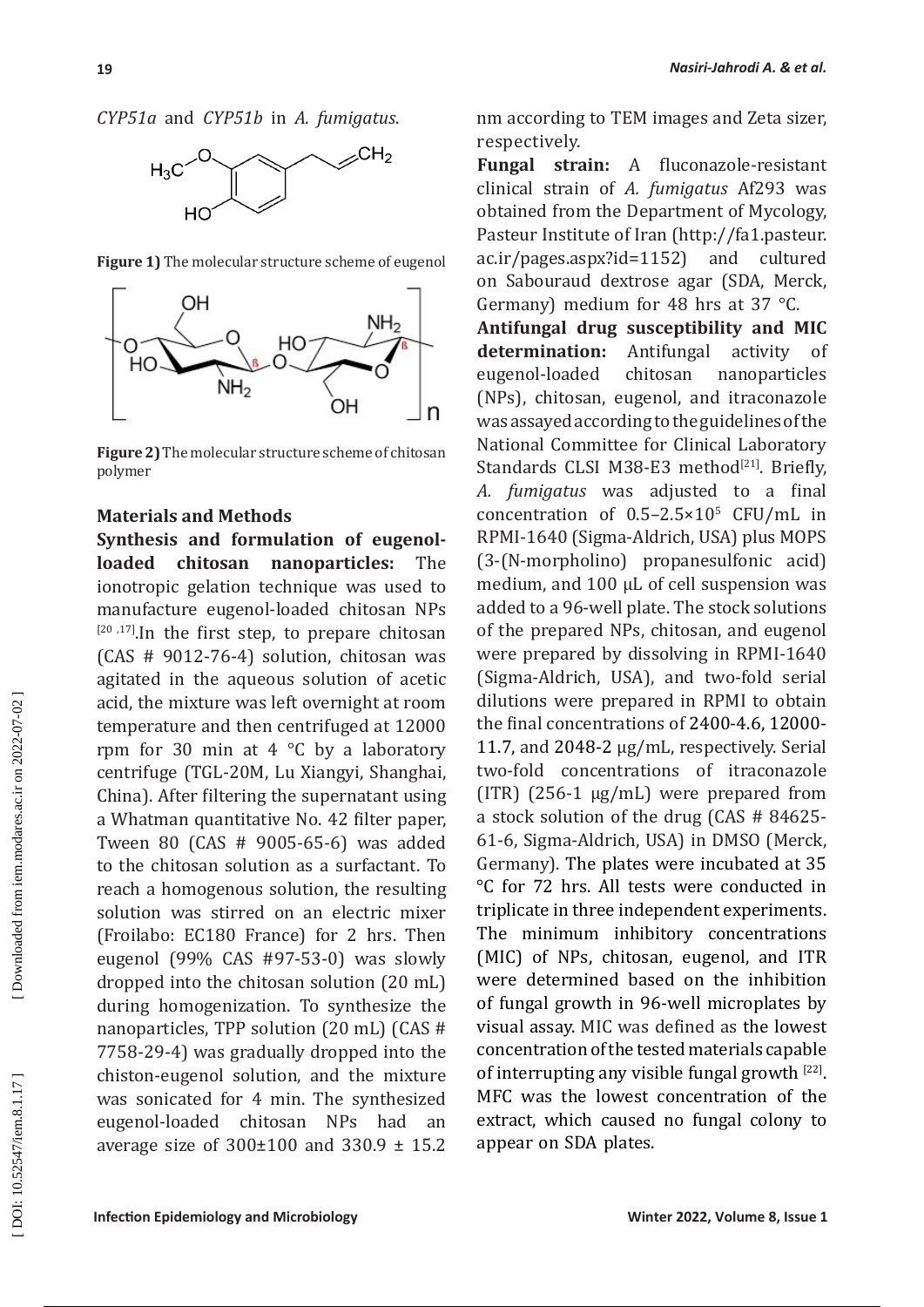*CYP51a* and *CYP51b* in *A. fumigatus* .



**Figure 1)** The molecular structure scheme of eugenol



**Figure 2)** The molecular structure scheme of chitosan polymer

## **Materials and Methods**

**Synthesis and formulation of eugenolloaded chitosan nanoparticles:** The ionotropic gelation technique was used to<br>manufacture eugenol-loaded chitosan NPs manufacture eugenol-loaded chitosan NPs<br><sup>[20 ,17]</sup>.In the first step, to prepare chitosan (CAS # 9012-76-4) solution, chitosan was agitated in the aqueous solution of acetic acid, the mixture was left overnight at room temperature and then centrifuged at 12000 rpm for 30 min at 4 °C by a laboratory centrifuge (TGL-20M, Lu Xiangyi, Shanghai, China). After filtering the supernatant using a Whatman quantitative No. 42 filter paper, Tween 80 (CAS # 9005-65-6) was added to the chitosan solution as a surfactant. To reach a homogenous solution, the resulting solution was stirred on an electric mixer (Froilabo: EC180 France) for 2 hrs. Then eugenol (99% CAS #97-53-0) was slowly dropped into the chitosan solution (20 mL) during homogenization. To synthesize the nanoparticles, TPP solution (20 mL) (CAS # 7758-29-4) was gradually dropped into the chiston-eugenol solution, and the mixture was sonicated for 4 min. The synthesized eugenol-loaded chitosan NPs had an average size of  $300\pm100$  and  $330.9 \pm 15.2$ 

nm according to TEM images and Zeta sizer, respectively.

**Fungal strain:** A fluconazole-resistant clinical strain of *A. fumigatus* Af293 was obtained from the Department of Mycology, Pasteur Institute of Iran (http://fa1.pasteur. ac.ir/pages.aspx?id=1152) and cultured on Sabouraud dextrose agar (SDA, Merck, Germany) medium for 48 hrs at 37 °C.

**Antifungal drug susceptibility and MIC determination:** Antifungal activity of eugenol-loaded chitosan nanoparticles (NPs), chitosan, eugenol, and itraconazole was assayed according to the guidelines of the National Committee for Clinical Laboratory Standards CLSI M38-E3 method $^{[21]}$ . Briefly, *A. fumigatus* was adjusted to a final concentration of  $0.5-2.5\times10^{5}$  CFU/mL in RPMI-1640 (Sigma-Aldrich, USA) plus MOPS (3-(N-morpholino) propanesulfonic acid) medium, and 100 µL of cell suspension was added to a 96-well plate. The stock solutions of the prepared NPs, chitosan, and eugenol were prepared by dissolving in RPMI-1640 (Sigma-Aldrich, USA), and two-fold serial dilutions were prepared in RPMI to obtain the final concentrations of 2400-4.6, 12000- 11.7, and 2048-2 μg/mL, respectively. Serial two-fold concentrations of itraconazole (ITR) (256-1 µg/mL) were prepared from a stock solution of the drug (CAS # 84625- 61-6, Sigma-Aldrich, USA) in DMSO (Merck, Germany). The plates were incubated at 35 °C for 72 hrs. All tests were conducted in triplicate in three independent experiments. The minimum inhibitory concentrations (MIC) of NPs, chitosan, eugenol, and ITR were determined based on the inhibition of fungal growth in 96-well microplates by visual assay. MIC was defined as the lowest concentration of the tested materials capable of interrupting any visible fungal growth [22]. MFC was the lowest concentration of the extract, which caused no fungal colony to appear on SDA plates.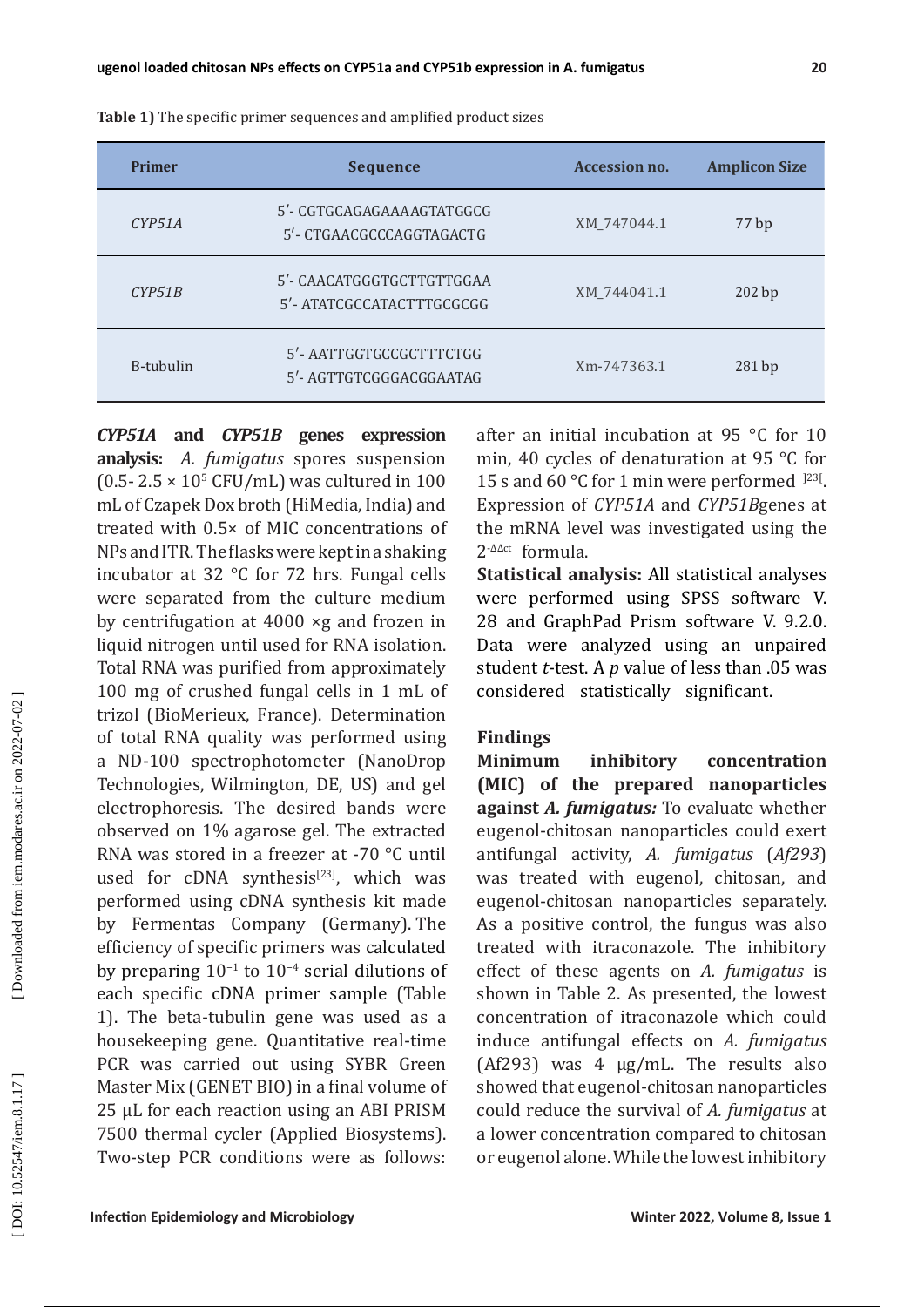| <b>Primer</b> | <b>Sequence</b>                                       | <b>Accession no.</b> | <b>Amplicon Size</b> |  |
|---------------|-------------------------------------------------------|----------------------|----------------------|--|
| CYP51A        | 5'- CGTGCAGAGAAAAGTATGGCG<br>5'- CTGAACGCCCAGGTAGACTG | XM_747044.1          | 77 bp                |  |
| CYP51B        | 5'- CAACATGGGTGCTTGTTGGAA<br>5'-ATATCGCCATACTTTGCGCGG | XM 744041.1          | 202 bp               |  |
| B-tubulin     | 5'-AATTGGTGCCGCTTTCTGG<br>5'- AGTTGTCGGGACGGAATAG     | Xm-747363.1          | 281bp                |  |

**Table 1)** The specific primer sequences and amplified product sizes

*CYP51A* **and** *CYP51B* **genes expression analysis:** *A. fumigatus* spores suspension  $(0.5 - 2.5 \times 10^{5} \text{ CFU/mL})$  was cultured in 100 mL of Czapek Dox broth (HiMedia, India) and treated with 0.5× of MIC concentrations of NPs and ITR. The flasks were kept in a shaking incubator at 32 °C for 72 hrs. Fungal cells were separated from the culture medium by centrifugation at 4000 ×g and frozen in liquid nitrogen until used for RNA isolation. Total RNA was purified from approximately 100 mg of crushed fungal cells in 1 mL of trizol (BioMerieux, France). Determination of total RNA quality was performed using a ND-100 spectrophotometer (NanoDrop Technologies, Wilmington, DE, US) and gel electrophoresis. The desired bands were observed on 1% agarose gel. The extracted RNA was stored in a freezer at -70 °C until used for cDNA synthesis $[23]$ , which was performed using cDNA synthesis kit made by Fermentas Company (Germany). The efficiency of specific primers was calculated by preparing  $10^{-1}$  to  $10^{-4}$  serial dilutions of each specific cDNA primer sample (Table 1). The beta-tubulin gene was used as a housekeeping gene. Quantitative real-time PCR was carried out using SYBR Green Master Mix (GENET BIO) in a final volume of 25 μL for each reaction using an ABI PRISM 7500 thermal cycler (Applied Biosystems). Two-step PCR conditions were as follows:

after an initial incubation at 95 °C for 10 min, 40 cycles of denaturation at 95 °C for 15 s and 60 °C for 1 min were performed  $^{123}$ . Expression of *CYP51A* and *CYP51B*genes at the mRNA level was investigated using the  $2^{-\Delta\Delta ct}$  formula.

**Statistical analysis:** All statistical analyses were performed using SPSS software V. 28 and GraphPad Prism software V. 9.2.0. Data were analyzed using an unpaired student *t*-test. A *p* value of less than .05 was considered statistically significant.

### **Findings**

**Minimum inhibitory concentration (MIC) of the prepared nanoparticles against** *A. fumigatus:* To evaluate whether eugenol-chitosan nanoparticles could exert antifungal activity, *A . fumigatus*  (*Af293*) was treated with eugenol, chitosan, and eugenol-chitosan nanoparticles separately. As a positive control, the fungus was also treated with itraconazole. The inhibitory effect of these agents on *A . fumigatus* is shown in Table 2. As presented, the lowest concentration of itraconazole which could induce antifungal effects on *A . fumigatus*  (Af293) was 4  $\mu$ g/mL. The results also showed that eugenol-chitosan nanoparticles could reduce the survival of *A . fumigatus* at a lower concentration compared to chitosan or eugenol alone. While the lowest inhibitory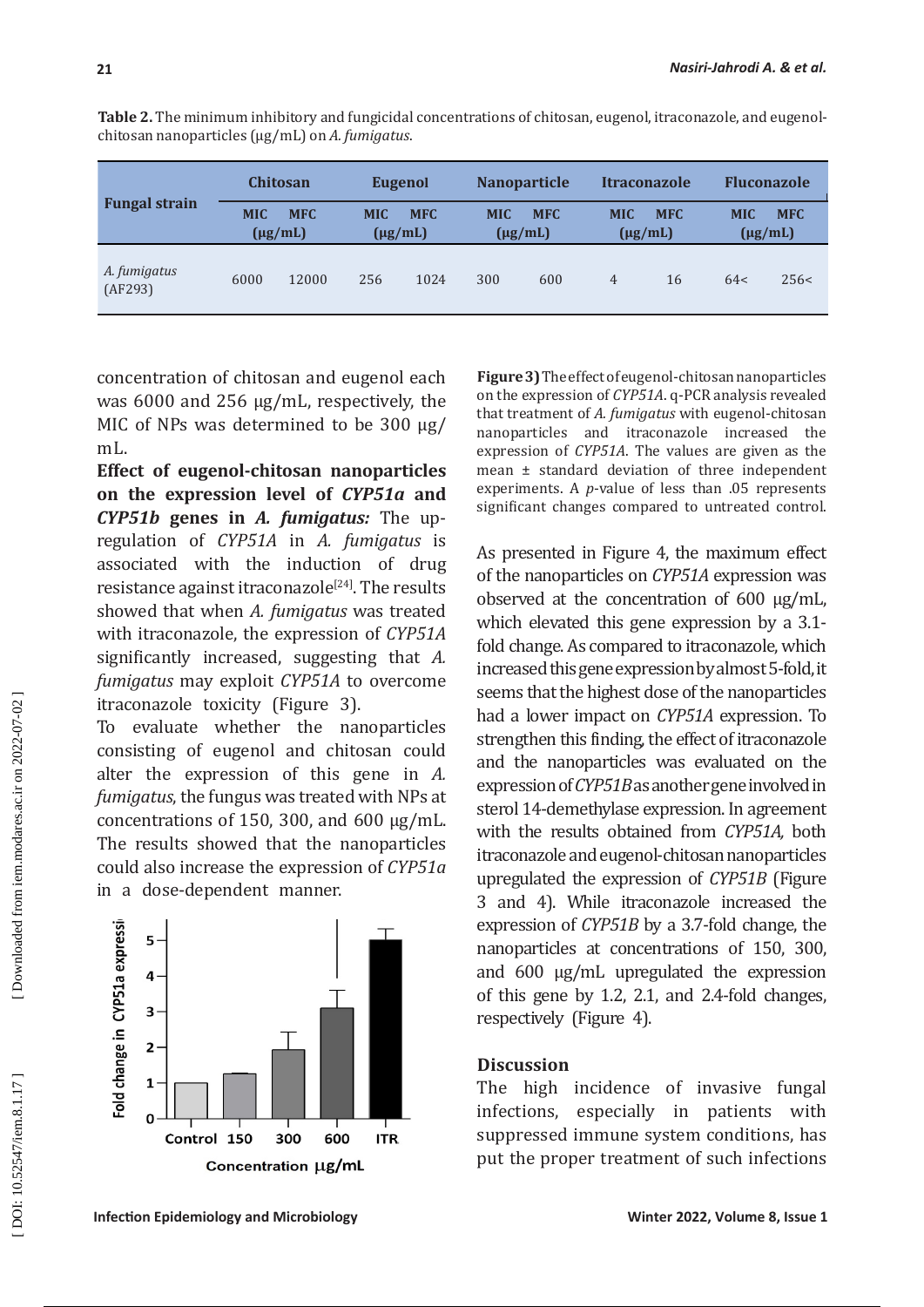| <b>Fungal strain</b>    | <b>Chitosan</b> |                            | <b>Eugenol</b>             |            | <b>Nanoparticle</b> |                            | <b>Itraconazole</b> |                            | <b>Fluconazole</b> |                            |
|-------------------------|-----------------|----------------------------|----------------------------|------------|---------------------|----------------------------|---------------------|----------------------------|--------------------|----------------------------|
|                         | <b>MIC</b>      | <b>MFC</b><br>$(\mu g/mL)$ | <b>MIC</b><br>$(\mu g/mL)$ | <b>MFC</b> | <b>MIC</b>          | <b>MFC</b><br>$(\mu g/mL)$ | <b>MIC</b>          | <b>MFC</b><br>$(\mu g/mL)$ | <b>MIC</b>         | <b>MFC</b><br>$(\mu g/mL)$ |
| A. fumigatus<br>(AF293) | 6000            | 12000                      | 256                        | 1024       | 300                 | 600                        | $\overline{4}$      | 16                         | 64<                | 256<                       |

**Table 2.** The minimum inhibitory and fungicidal concentrations of chitosan, eugenol, itraconazole, and eugenolchitosan nanoparticles (μg/mL) on *A. fumigatus*.

concentration of chitosan and eugenol each was 6000 and 256 μg/mL, respectively, the MIC of NPs was determined to be 300 μg/ mL.

**Effect of eugenol-chitosan nanoparticles on the expression level of** *CYP51a* **and**  *CYP51b* **genes in** *A. fumigatus:* The upregulation of *CYP51A* in *A. fumigatus* is associated with the induction of drug resistance against itraconazole<sup>[24]</sup>. The results showed that when *A. fumigatus* was treated with itraconazole, the expression of *CYP51A* significantly increased, suggesting that *A. fumigatus* may exploit *CYP51A* to overcome itraconazole toxicity (Figure 3).

To evaluate whether the nanoparticles consisting of eugenol and chitosan could alter the expression of this gene in *A. fumigatus*, the fungus was treated with NPs at concentrations of 150, 300, and 600 µg/mL. The results showed that the nanoparticles could also increase the expression of *CYP51a* in a dose-dependent manner.



**Figure 3)** The effect of eugenol-chitosan nanoparticles on the expression of *CYP51A*. q-PCR analysis revealed that treatment of *A. fumigatus* with eugenol-chitosan nanoparticles and itraconazole increased the expression of *CYP51A*. The values are given as the mean ± standard deviation of three independent experiments. A *p*-value of less than .05 represents significant changes compared to untreated control.

As presented in Figure 4, the maximum effect of the nanoparticles on *CYP51A* expression was observed at the concentration of 600 µg/mL, which elevated this gene expression by a 3.1 fold change. As compared to itraconazole, which increased this gene expression by almost 5-fold, it seems that the highest dose of the nanoparticles had a lower impact on *CYP51A* expression. To strengthen this finding, the effect of itraconazole and the nanoparticles was evaluated on the expression of *CYP51B* as another gene involved in sterol 14-demethylase expression. In agreement with the results obtained from *CYP51A,* both itraconazole and eugenol-chitosan nanoparticles upregulated the expression of *CYP51B* (Figure 3 and 4). While itraconazole increased the expression of *CYP51B* by a 3.7-fold change, the nanoparticles at concentrations of 150, 300, and 600 µg/mL upregulated the expression of this gene by 1.2, 2.1, and 2.4-fold changes, respectively (Figure 4).

## **Discussion**

The high incidence of invasive fungal infections, especially in patients with suppressed immune system conditions, has put the proper treatment of such infections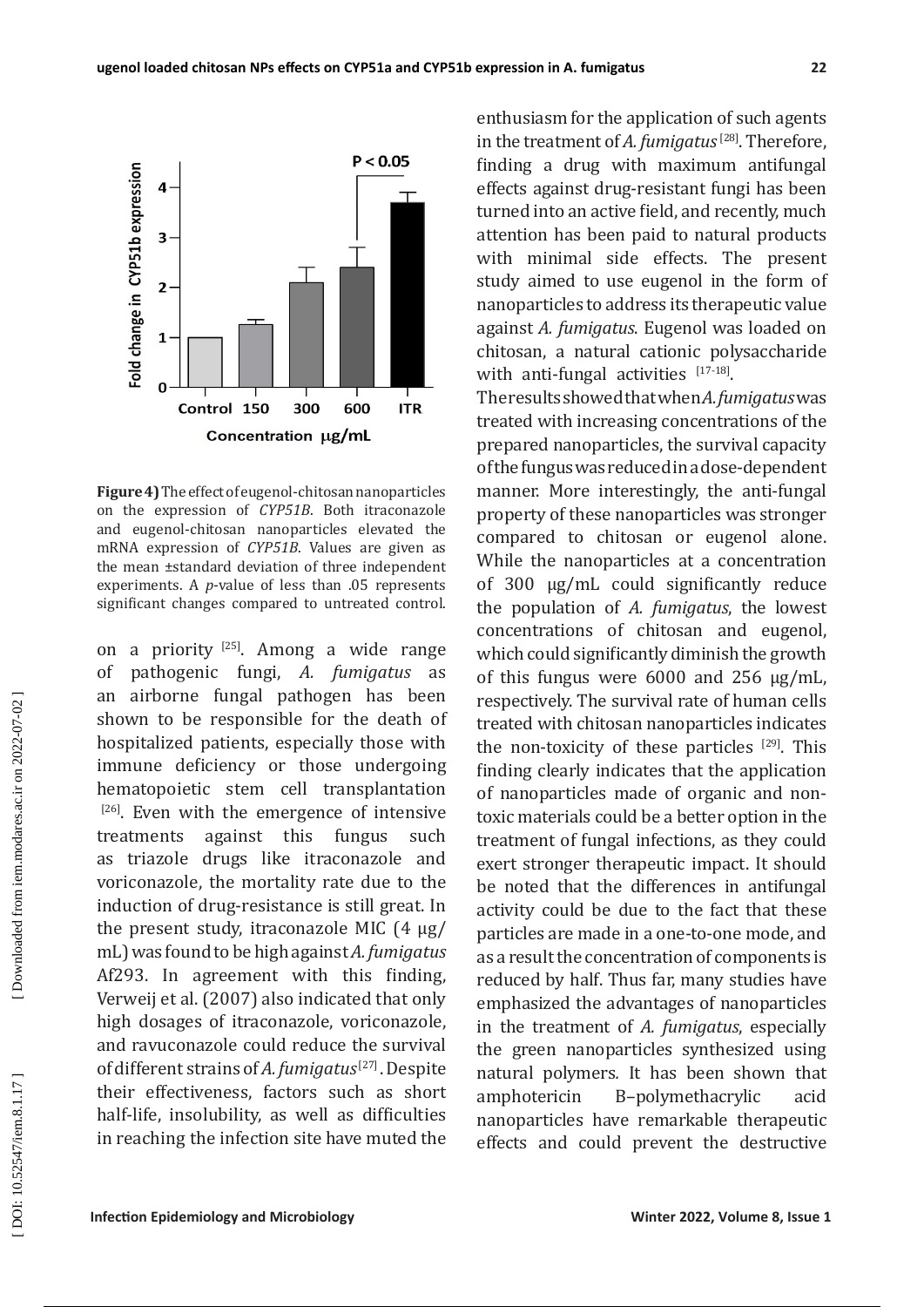

**Figure 4)** The effect of eugenol-chitosan nanoparticles on the expression of *CYP51B*. Both itraconazole and eugenol-chitosan nanoparticles elevated the mRNA expression of *CYP51B*. Values are given as the mean ±standard deviation of three independent experiments. A *p*-value of less than .05 represents significant changes compared to untreated control.

on a priority <sup>[25]</sup>. Among a wide range of pathogenic fungi, *A. fumigatus* as an airborne fungal pathogen has been shown to be responsible for the death of hospitalized patients, especially those with immune deficiency or those undergoing hematopoietic stem cell transplantation  $[26]$ . Even with the emergence of intensive treatments against this fungus such as triazole drugs like itraconazole and voriconazole, the mortality rate due to the induction of drug-resistance is still great. In the present study, itraconazole MIC (4 μg/ mL) was found to be high against *A. fumigatus* Af293. In agreement with this finding, Verweij et al. (2007) also indicated that only high dosages of itraconazole, voriconazole, and ravuconazole could reduce the survival of different strains of A. fumigatus<sup>[27]</sup>. Despite their effectiveness, factors such as short half-life, insolubility, as well as difficulties in reaching the infection site have muted the

enthusiasm for the application of such agents in the treatment of *A. fumigatus* <sup>[28]</sup>. Therefore, finding a drug with maximum antifungal effects against drug-resistant fungi has been turned into an active field, and recently, much attention has been paid to natural products with minimal side effects. The present study aimed to use eugenol in the form of nanoparticles to address its therapeutic value against *A. fumigatus*. Eugenol was loaded on chitosan, a natural cationic polysaccharide with anti-fungal activities  $17-18$ .

The results showed that when *A. fumigatus* was treated with increasing concentrations of the prepared nanoparticles, the survival capacity of the fungus was reduced in a dose-dependent manner. More interestingly, the anti-fungal property of these nanoparticles was stronger compared to chitosan or eugenol alone. While the nanoparticles at a concentration of 300 μg/mL could significantly reduce the population of *A. fumigatus*, the lowest concentrations of chitosan and eugenol, which could significantly diminish the growth of this fungus were 6000 and 256 μg/mL, respectively. The survival rate of human cells treated with chitosan nanoparticles indicates the non-toxicity of these particles  $[29]$ . This finding clearly indicates that the application of nanoparticles made of organic and nontoxic materials could be a better option in the treatment of fungal infections, as they could exert stronger therapeutic impact. It should be noted that the differences in antifungal activity could be due to the fact that these particles are made in a one-to-one mode, and as a result the concentration of components is reduced by half. Thus far, many studies have emphasized the advantages of nanoparticles in the treatment of *A. fumigatus*, especially the green nanoparticles synthesized using natural polymers. It has been shown that<br>amphotericin B-polymethacrylic acid B–polymethacrylic acid nanoparticles have remarkable therapeutic effects and could prevent the destructive

Downloaded from iem.modares.ac.ir on 2022-07-02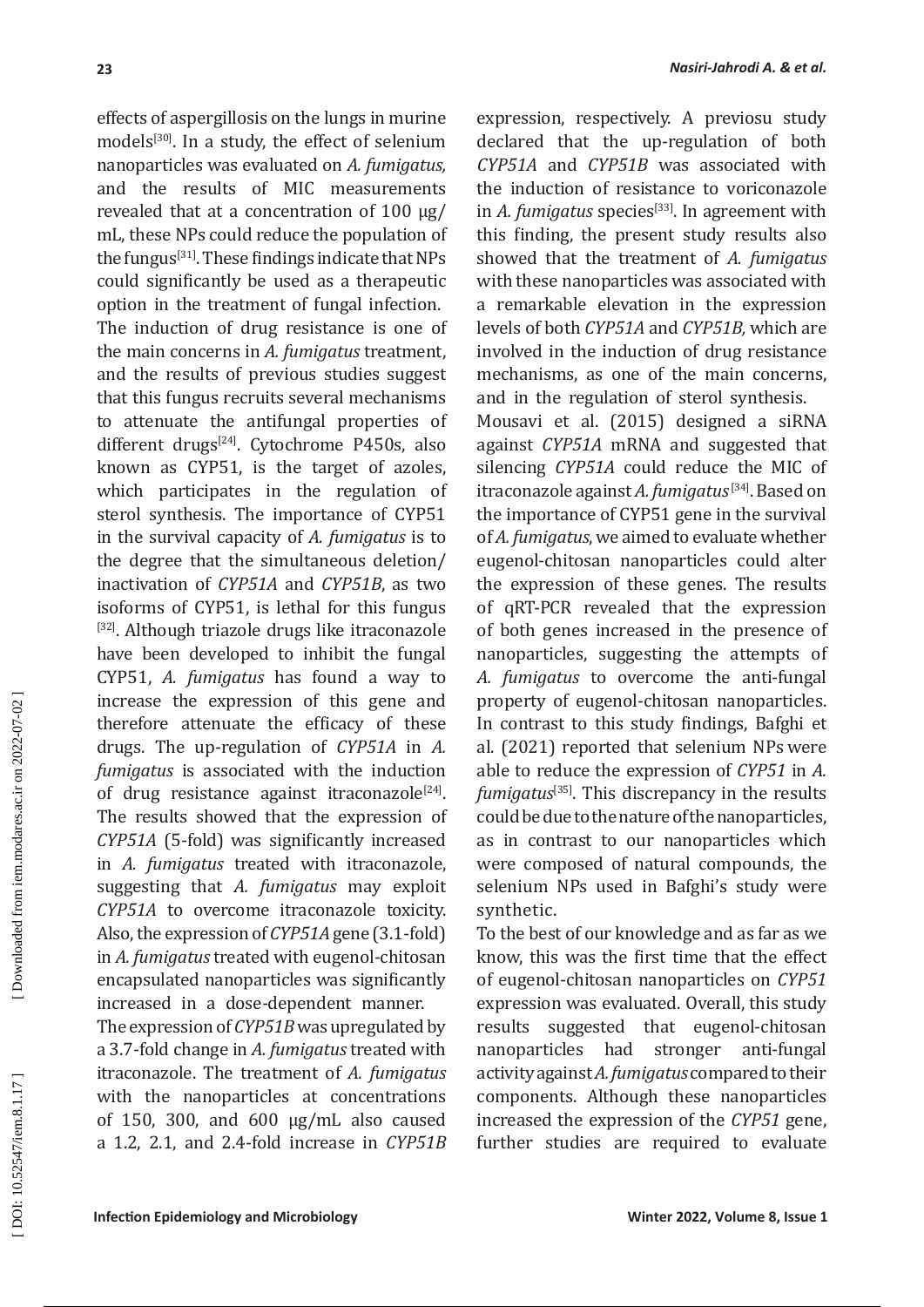effects of aspergillosis on the lungs in murine models<sup>[30]</sup>. In a study, the effect of selenium nanoparticles was evaluated on *A. fumigatus,* and the results of MIC measurements revealed that at a concentration of 100 μg/ mL, these NPs could reduce the population of the fungus<sup>[31]</sup>. These findings indicate that NPs could significantly be used as a therapeutic option in the treatment of fungal infection. The induction of drug resistance is one of the main concerns in *A. fumigatus* treatment, and the results of previous studies suggest that this fungus recruits several mechanisms to attenuate the antifungal properties of different drugs<sup>[24]</sup>. Cytochrome P450s, also known as CYP51, is the target of azoles, which participates in the regulation of sterol synthesis. The importance of CYP51 in the survival capacity of *A. fumigatus* is to the degree that the simultaneous deletion/ inactivation of *CYP51A* and *CYP51B*, as two isoforms of CYP51, is lethal for this fungus <sup>[32]</sup>. Although triazole drugs like itraconazole have been developed to inhibit the fungal CYP51, *A. fumigatus* has found a way to increase the expression of this gene and therefore attenuate the efficacy of these drugs. The up-regulation of *CYP51A* in *A. fumigatus* is associated with the induction of drug resistance against itraconazole<sup>[24]</sup>. The results showed that the expression of *CYP51A* (5-fold) was significantly increased in *A. fumigatus* treated with itraconazole, suggesting that *A. fumigatus* may exploit *CYP51A* to overcome itraconazole toxicity. Also, the expression of *CYP51A* gene (3.1-fold) in *A. fumigatus* treated with eugenol-chitosan encapsulated nanoparticles was significantly increased in a dose-dependent manner.

The expression of *CYP51B* was upregulated by a 3.7-fold change in *A. fumigatus* treated with itraconazole. The treatment of *A. fumigatus* with the nanoparticles at concentrations of 150, 300, and 600 µg/mL also caused a 1.2, 2.1, and 2.4-fold increase in *CYP51B*  expression, respectively. A previosu study declared that the up-regulation of both *CYP51A* and *CYP51B* was associated with the induction of resistance to voriconazole in *A. fumigatus* species<sup>[33]</sup>. In agreement with this finding, the present study results also showed that the treatment of *A. fumigatus*  with these nanoparticles was associated with a remarkable elevation in the expression levels of both *CYP51A* and *CYP51B,* which are involved in the induction of drug resistance mechanisms, as one of the main concerns, and in the regulation of sterol synthesis.

Mousavi et al. (2015) designed a siRNA against *CYP51A* mRNA and suggested that silencing *CYP51A* could reduce the MIC of itraconazole against *A. fumigatus*<sup>[34]</sup>. Based on the importance of CYP51 gene in the survival of *A. fumigatus*, we aimed to evaluate whether eugenol-chitosan nanoparticles could alter the expression of these genes. The results of qRT-PCR revealed that the expression of both genes increased in the presence of nanoparticles, suggesting the attempts of *A. fumigatus* to overcome the anti-fungal property of eugenol-chitosan nanoparticles. In contrast to this study findings, Bafghi et al. (2021) reported that selenium NPs were able to reduce the expression of *CYP51* in *A.*  fumigatus<sup>[35]</sup>. This discrepancy in the results could be due to the nature of the nanoparticles, as in contrast to our nanoparticles which were composed of natural compounds, the selenium NPs used in Bafghi's study were synthetic.

To the best of our knowledge and as far as we know, this was the first time that the effect of eugenol-chitosan nanoparticles on *CYP51* expression was evaluated. Overall, this study results suggested that eugenol-chitosan had stronger anti-fungal activity against *A. fumigatus* compared to their components. Although these nanoparticles increased the expression of the *CYP51* gene, further studies are required to evaluate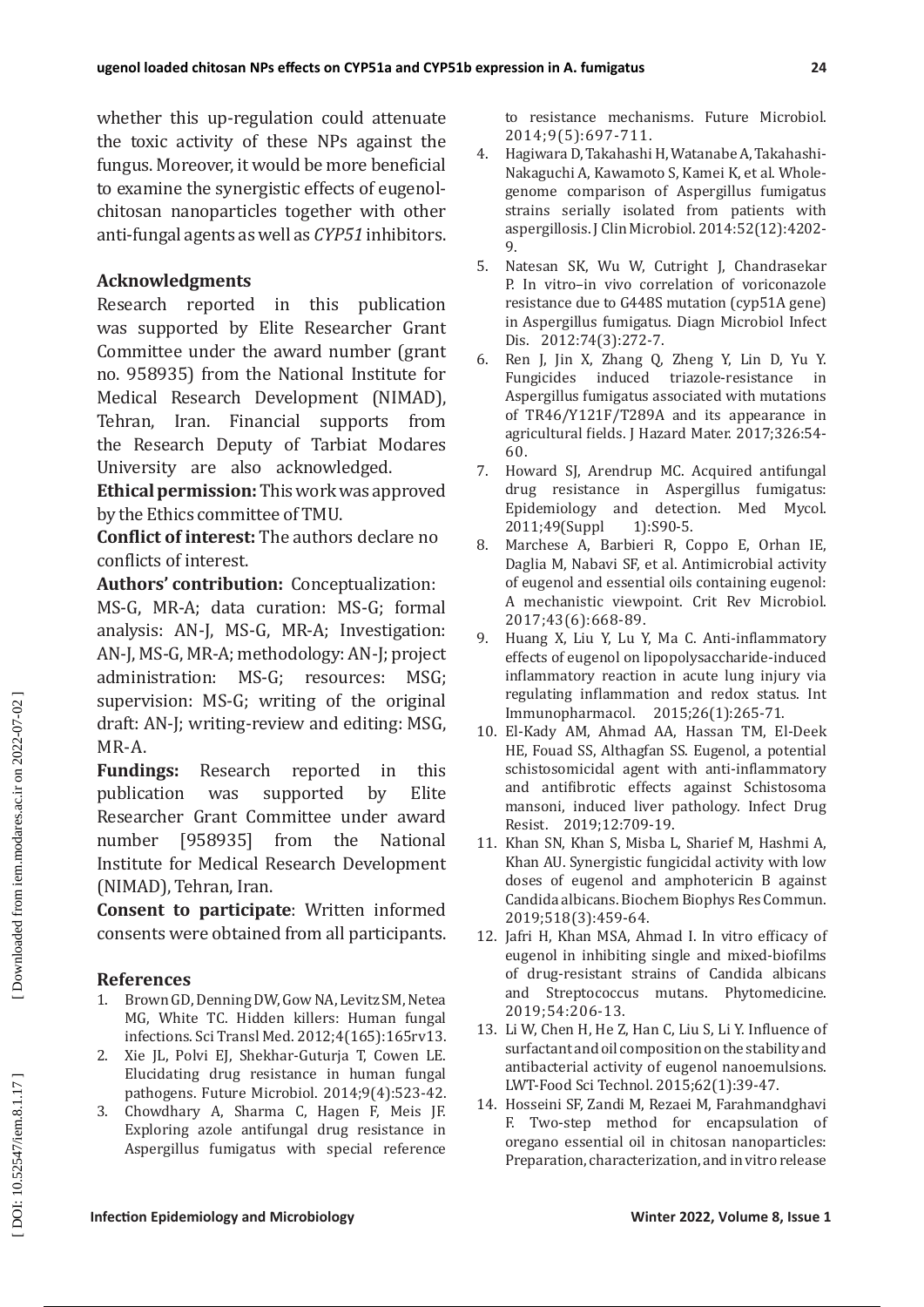whether this up-regulation could attenuate the toxic activity of these NPs against the fungus. Moreover, it would be more beneficial to examine the synergistic effects of eugenolchitosan nanoparticles together with other anti-fungal agents as well as *CYP51* inhibitors.

## **Acknowledgments**

Research reported in this publication was supported by Elite Researcher Grant Committee under the award number (grant no. 958935) from the National Institute for Medical Research Development (NIMAD), Tehran, Iran. Financial supports from the Research Deputy of Tarbiat Modares University are also acknowledged.

**Ethical permission:** This work was approved by the Ethics committee of TMU.

**Conflict of interest:** The authors declare no conflicts of interest.

**Authors' contribution:** Conceptualization: MS-G, MR-A; data curation: MS-G; formal analysis: AN-J, MS-G, MR-A; Investigation: AN-J, MS-G, MR-A; methodology: AN-J; project administration: MS-G; resources: MSG; supervision: MS-G; writing of the original draft: AN-J; writing-review and editing: MSG, MR-A.

**Fundings:** Research reported in this nublication was supported by Elite publication was supported by Researcher Grant Committee under award<br>number [958935] from the National number [958935] from the National Institute for Medical Research Development (NIMAD), Tehran, Iran.

**Consent to participate**: Written informed consents were obtained from all participants.

## **References**

- 1. Brown GD, Denning DW, Gow NA, Levitz SM, Netea MG, White TC. Hidden killers: Human fungal infections. Sci Transl Med. 2012;4(165):165rv13.
- 2. Xie JL, Polvi EJ, Shekhar-Guturja T, Cowen LE. Elucidating drug resistance in human fungal pathogens. Future Microbiol. 2014;9(4):523-42.
- 3. Chowdhary A, Sharma C, Hagen F, Meis JF. Exploring azole antifungal drug resistance in Aspergillus fumigatus with special reference

to resistance mechanisms. Future Microbiol. 2014;9(5):697-711.

- 4. Hagiwara D, Takahashi H, Watanabe A, Takahashi-Nakaguchi A, Kawamoto S, Kamei K, et al. Wholegenome comparison of Aspergillus fumigatus strains serially isolated from patients with aspergillosis. J Clin Microbiol. 2014:52(12):4202- 9.
- 5. Natesan SK, Wu W, Cutright J, Chandrasekar P. In vitro–in vivo correlation of voriconazole resistance due to G448S mutation (cyp51A gene) in Aspergillus fumigatus. Diagn Microbiol Infect Dis. 2012:74(3):272-7.
- 6. Ren J, Jin X, Zhang Q, Zheng Y, Lin D, Yu Y. Fungicides induced triazole-resistance in Aspergillus fumigatus associated with mutations of TR46/Y121F/T289A and its appearance in agricultural fields. J Hazard Mater. 2017;326:54- 60.
- 7. Howard SJ, Arendrup MC. Acquired antifungal drug resistance in Aspergillus fumigatus: Epidemiology and detection. Med Mycol.<br>2011;49(Suppl 1):S90-5. 2011;49(Suppl
- 8. Marchese A, Barbieri R, Coppo E, Orhan IE, Daglia M, Nabavi SF, et al. Antimicrobial activity of eugenol and essential oils containing eugenol: A mechanistic viewpoint. Crit Rev Microbiol. 2017;43(6):668-89.
- 9. Huang X, Liu Y, Lu Y, Ma C. Anti-inflammatory effects of eugenol on lipopolysaccharide-induced inflammatory reaction in acute lung injury via regulating inflammation and redox status. Int Immunopharmacol. 2015;26(1):265-71.
- 10. El-Kady AM, Ahmad AA, Hassan TM, El-Deek HE, Fouad SS, Althagfan SS. Eugenol, a potential schistosomicidal agent with anti-inflammatory and antifibrotic effects against Schistosoma mansoni, induced liver pathology. Infect Drug Resist. 2019;12:709-19.
- 11. Khan SN, Khan S, Misba L, Sharief M, Hashmi A, Khan AU. Synergistic fungicidal activity with low doses of eugenol and amphotericin B against Candida albicans. Biochem Biophys Res Commun. 2019;518(3):459-64.
- 12. Jafri H, Khan MSA, Ahmad I. In vitro efficacy of eugenol in inhibiting single and mixed-biofilms of drug-resistant strains of Candida albicans and Streptococcus mutans. Phytomedicine. 2019;54:206-13.
- 13. Li W, Chen H, He Z, Han C, Liu S, Li Y. Influence of surfactant and oil composition on the stability and antibacterial activity of eugenol nanoemulsions. LWT-Food Sci Technol. 2015;62(1):39-47.
- 14. Hosseini SF, Zandi M, Rezaei M, Farahmandghavi F. Two-step method for encapsulation of oregano essential oil in chitosan nanoparticles: Preparation, characterization, and in vitro release